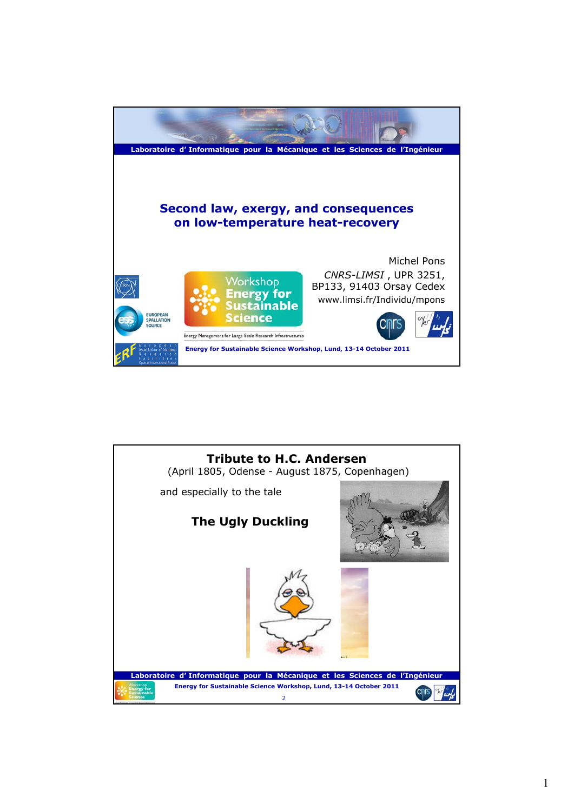

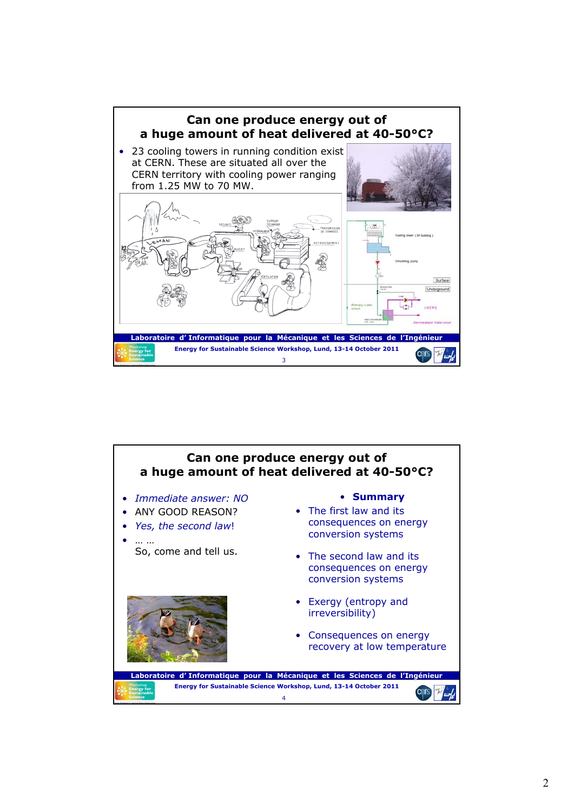

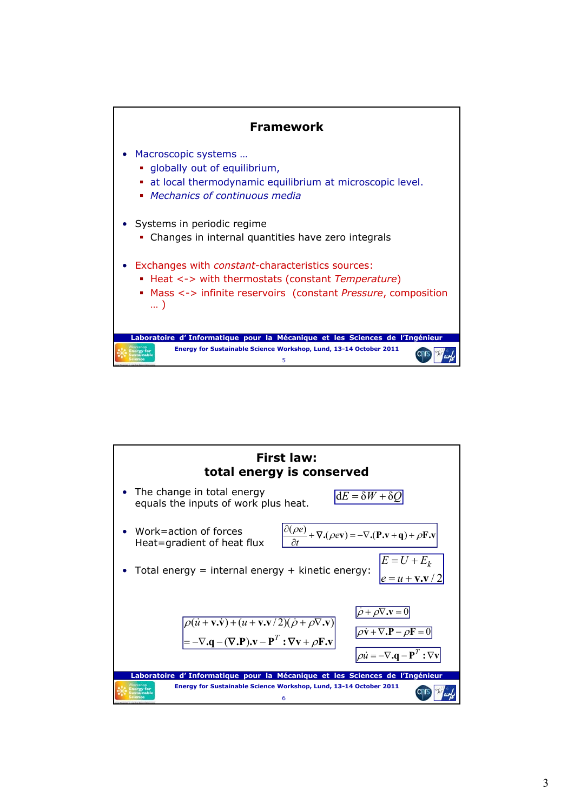

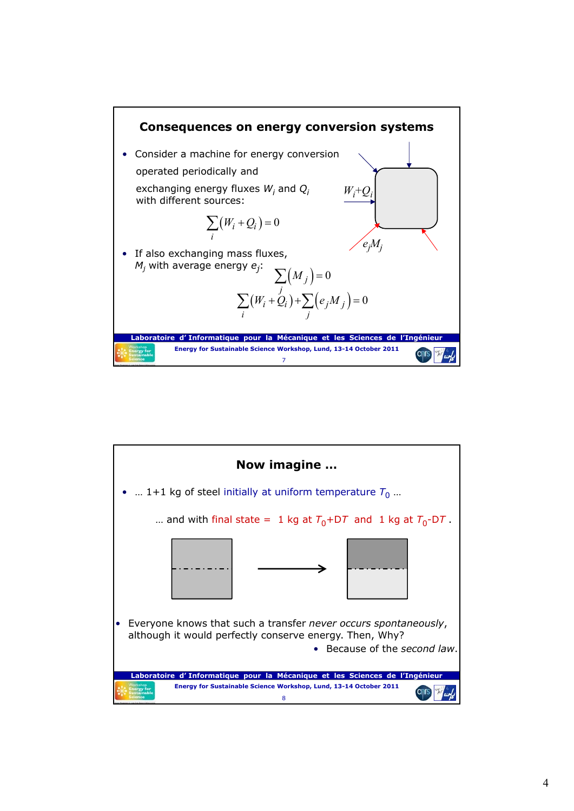

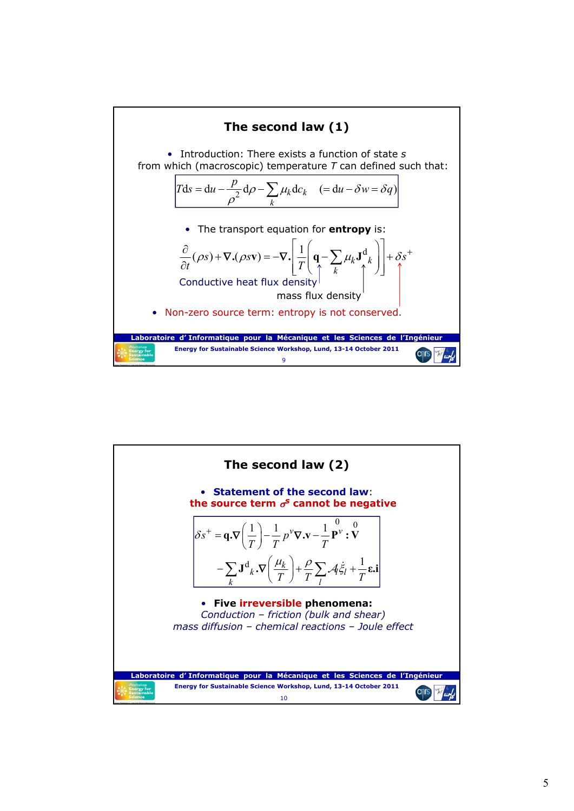

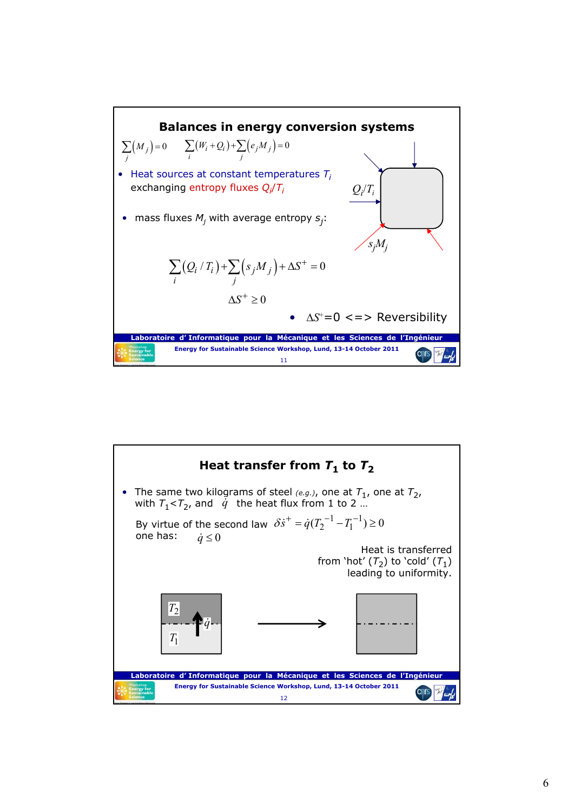

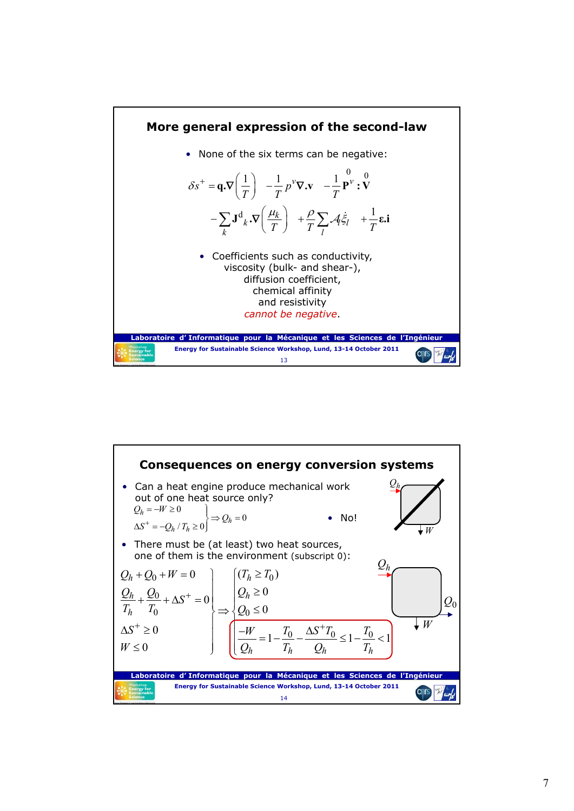

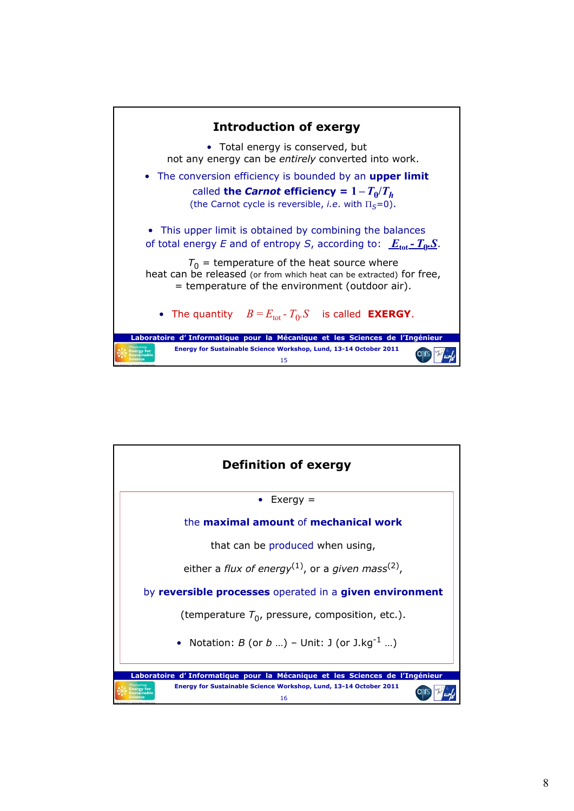

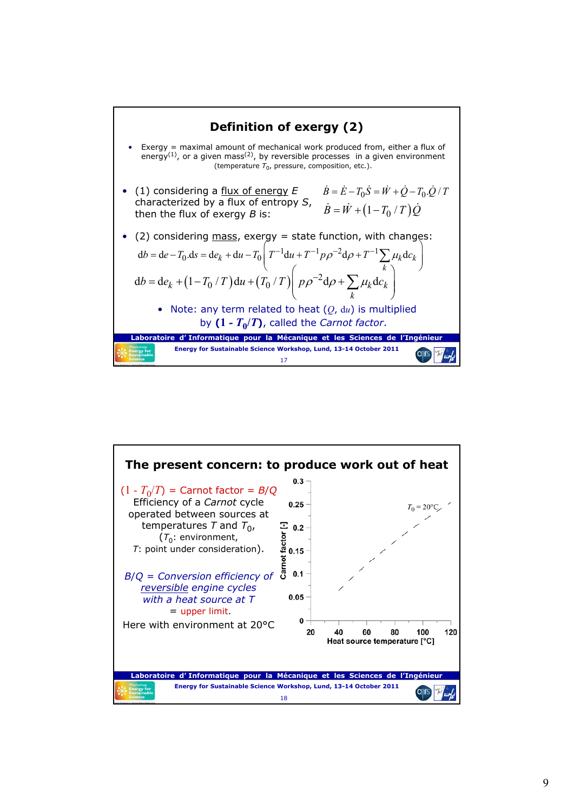

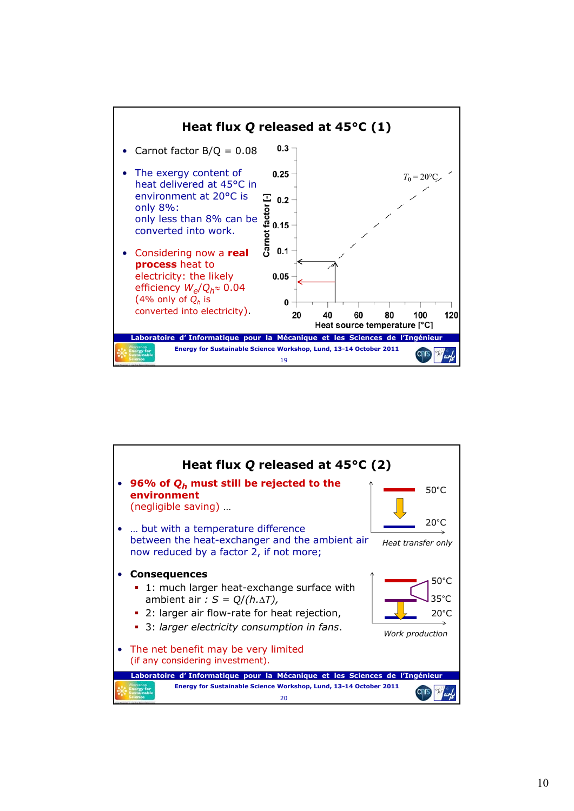

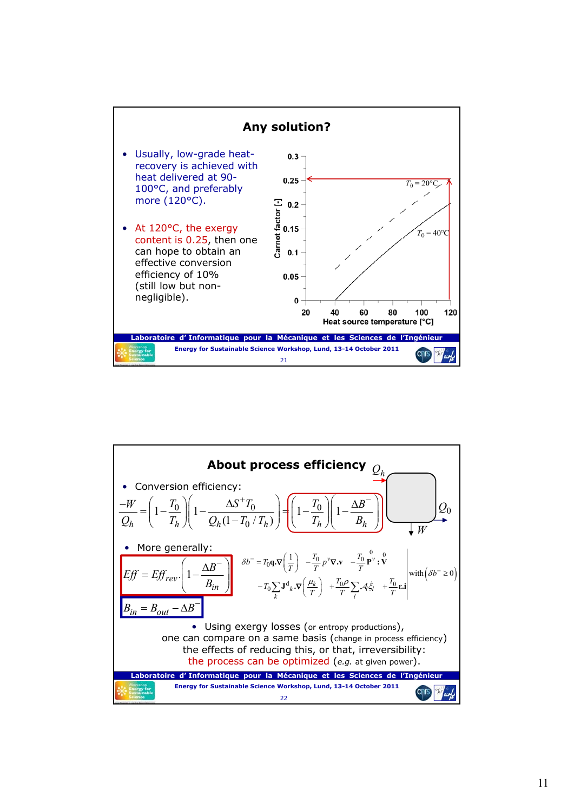